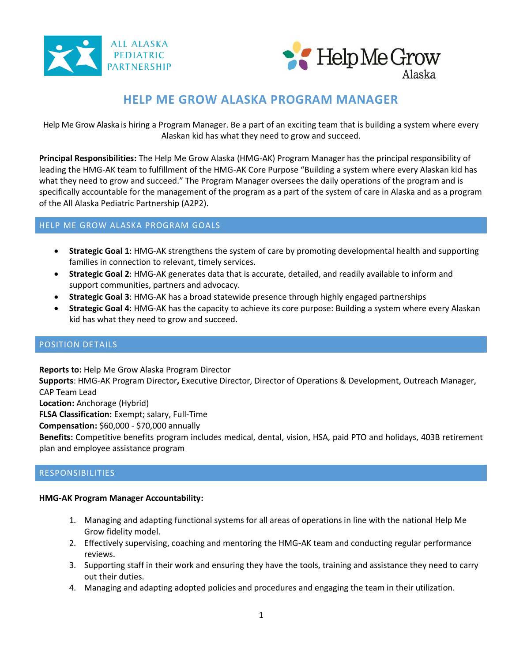



# **HELP ME GROW ALASKA PROGRAM MANAGER**

Help Me Grow Alaska is hiring a Program Manager. Be a part of an exciting team that is building a system where every Alaskan kid has what they need to grow and succeed.

**Principal Responsibilities:** The Help Me Grow Alaska (HMG-AK) Program Manager has the principal responsibility of leading the HMG-AK team to fulfillment of the HMG-AK Core Purpose "Building a system where every Alaskan kid has what they need to grow and succeed." The Program Manager oversees the daily operations of the program and is specifically accountable for the management of the program as a part of the system of care in Alaska and as a program of the All Alaska Pediatric Partnership (A2P2).

# HELP ME GROW ALASKA PROGRAM GOALS

- **Strategic Goal 1**: HMG-AK strengthens the system of care by promoting developmental health and supporting families in connection to relevant, timely services.
- **Strategic Goal 2**: HMG-AK generates data that is accurate, detailed, and readily available to inform and support communities, partners and advocacy.
- **Strategic Goal 3**: HMG-AK has a broad statewide presence through highly engaged partnerships
- **Strategic Goal 4**: HMG-AK has the capacity to achieve its core purpose: Building a system where every Alaskan kid has what they need to grow and succeed.

## POSITION DETAILS

**Reports to:** Help Me Grow Alaska Program Director

**Supports**: HMG-AK Program Director**,** Executive Director, Director of Operations & Development, Outreach Manager, CAP Team Lead

**Location:** Anchorage (Hybrid)

**FLSA Classification:** Exempt; salary, Full-Time

**Compensation:** \$60,000 - \$70,000 annually

**Benefits:** Competitive benefits program includes medical, dental, vision, HSA, paid PTO and holidays, 403B retirement plan and employee assistance program

## RESPONSIBILITIES

### **HMG-AK Program Manager Accountability:**

- 1. Managing and adapting functional systems for all areas of operations in line with the national Help Me Grow fidelity model.
- 2. Effectively supervising, coaching and mentoring the HMG-AK team and conducting regular performance reviews.
- 3. Supporting staff in their work and ensuring they have the tools, training and assistance they need to carry out their duties.
- 4. Managing and adapting adopted policies and procedures and engaging the team in their utilization.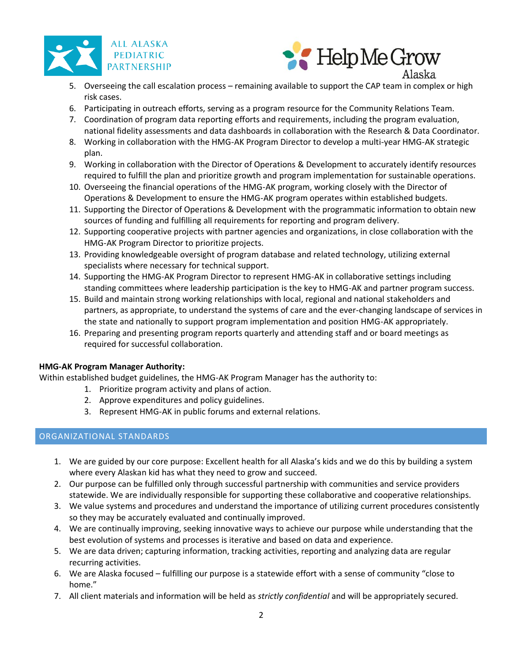



- 5. Overseeing the call escalation process remaining available to support the CAP team in complex or high risk cases.
- 6. Participating in outreach efforts, serving as a program resource for the Community Relations Team.
- 7. Coordination of program data reporting efforts and requirements, including the program evaluation, national fidelity assessments and data dashboards in collaboration with the Research & Data Coordinator.
- 8. Working in collaboration with the HMG-AK Program Director to develop a multi-year HMG-AK strategic plan.
- 9. Working in collaboration with the Director of Operations & Development to accurately identify resources required to fulfill the plan and prioritize growth and program implementation for sustainable operations.
- 10. Overseeing the financial operations of the HMG-AK program, working closely with the Director of Operations & Development to ensure the HMG-AK program operates within established budgets.
- 11. Supporting the Director of Operations & Development with the programmatic information to obtain new sources of funding and fulfilling all requirements for reporting and program delivery.
- 12. Supporting cooperative projects with partner agencies and organizations, in close collaboration with the HMG-AK Program Director to prioritize projects.
- 13. Providing knowledgeable oversight of program database and related technology, utilizing external specialists where necessary for technical support.
- 14. Supporting the HMG-AK Program Director to represent HMG-AK in collaborative settings including standing committees where leadership participation is the key to HMG-AK and partner program success.
- 15. Build and maintain strong working relationships with local, regional and national stakeholders and partners, as appropriate, to understand the systems of care and the ever-changing landscape of services in the state and nationally to support program implementation and position HMG-AK appropriately.
- 16. Preparing and presenting program reports quarterly and attending staff and or board meetings as required for successful collaboration.

## **HMG-AK Program Manager Authority:**

Within established budget guidelines, the HMG-AK Program Manager has the authority to:

- 1. Prioritize program activity and plans of action.
- 2. Approve expenditures and policy guidelines.
- 3. Represent HMG-AK in public forums and external relations.

# ORGANIZATIONAL STANDARDS

- 1. We are guided by our core purpose: Excellent health for all Alaska's kids and we do this by building a system where every Alaskan kid has what they need to grow and succeed.
- 2. Our purpose can be fulfilled only through successful partnership with communities and service providers statewide. We are individually responsible for supporting these collaborative and cooperative relationships.
- 3. We value systems and procedures and understand the importance of utilizing current procedures consistently so they may be accurately evaluated and continually improved.
- 4. We are continually improving, seeking innovative ways to achieve our purpose while understanding that the best evolution of systems and processes is iterative and based on data and experience.
- 5. We are data driven; capturing information, tracking activities, reporting and analyzing data are regular recurring activities.
- 6. We are Alaska focused fulfilling our purpose is a statewide effort with a sense of community "close to home."
- 7. All client materials and information will be held as *strictly confidential* and will be appropriately secured.